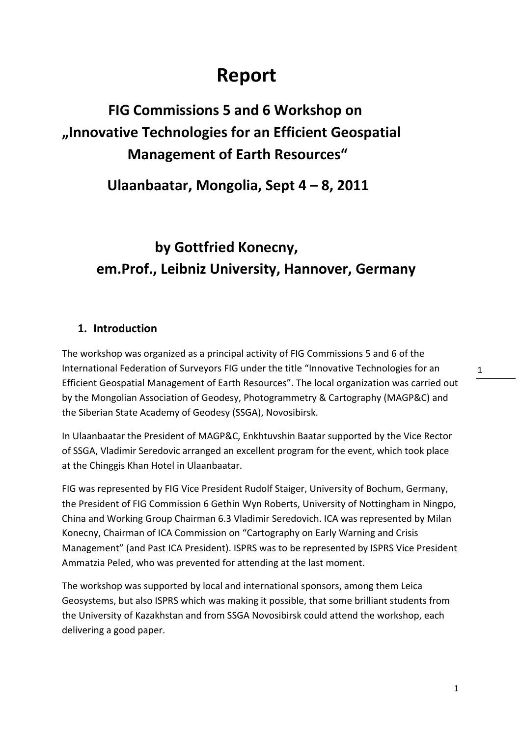# **Report**

### **FIG Commissions 5 and 6 Workshop on "Innovative Technologies for an Efficient Geospatial Management of Earth Resources"**

 **Ulaanbaatar, Mongolia, Sept 4 – 8, 2011** 

# **by Gottfried Konecny, em.Prof., Leibniz University, Hannover, Germany**

#### **1. Introduction**

The workshop was organized as a principal activity of FIG Commissions 5 and 6 of the International Federation of Surveyors FIG under the title "Innovative Technologies for an Efficient Geospatial Management of Earth Resources". The local organization was carried out by the Mongolian Association of Geodesy, Photogrammetry & Cartography (MAGP&C) and the Siberian State Academy of Geodesy (SSGA), Novosibirsk.

In Ulaanbaatar the President of MAGP&C, Enkhtuvshin Baatar supported by the Vice Rector of SSGA, Vladimir Seredovic arranged an excellent program for the event, which took place at the Chinggis Khan Hotel in Ulaanbaatar.

FIG was represented by FIG Vice President Rudolf Staiger, University of Bochum, Germany, the President of FIG Commission 6 Gethin Wyn Roberts, University of Nottingham in Ningpo, China and Working Group Chairman 6.3 Vladimir Seredovich. ICA was represented by Milan Konecny, Chairman of ICA Commission on "Cartography on Early Warning and Crisis Management" (and Past ICA President). ISPRS was to be represented by ISPRS Vice President Ammatzia Peled, who was prevented for attending at the last moment.

The workshop was supported by local and international sponsors, among them Leica Geosystems, but also ISPRS which was making it possible, that some brilliant students from the University of Kazakhstan and from SSGA Novosibirsk could attend the workshop, each delivering a good paper.

1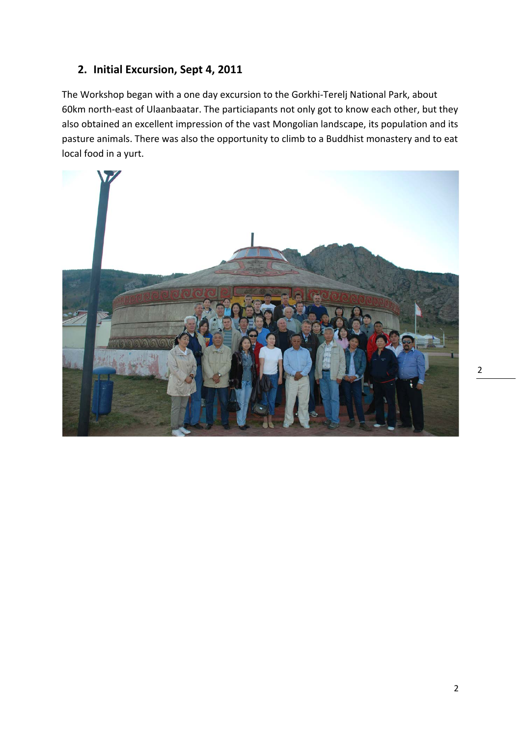#### **2. Initial Excursion, Sept 4, 2011**

The Workshop began with a one day excursion to the Gorkhi-Terelj National Park, about 60km north-east of Ulaanbaatar. The particiapants not only got to know each other, but they also obtained an excellent impression of the vast Mongolian landscape, its population and its pasture animals. There was also the opportunity to climb to a Buddhist monastery and to eat local food in a yurt.

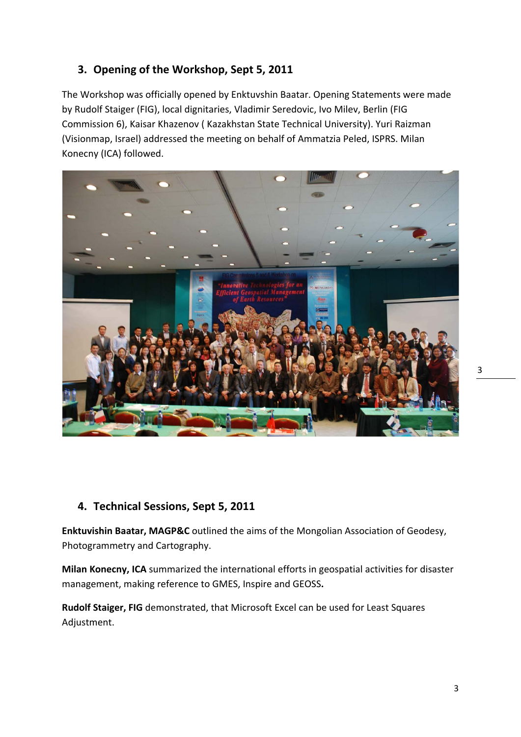### **3. Opening of the Workshop, Sept 5, 2011**

The Workshop was officially opened by Enktuvshin Baatar. Opening Statements were made by Rudolf Staiger (FIG), local dignitaries, Vladimir Seredovic, Ivo Milev, Berlin (FIG Commission 6), Kaisar Khazenov ( Kazakhstan State Technical University). Yuri Raizman (Visionmap, Israel) addressed the meeting on behalf of Ammatzia Peled, ISPRS. Milan Konecny (ICA) followed.



#### **4. Technical Sessions, Sept 5, 2011**

**Enktuvishin Baatar, MAGP&C** outlined the aims of the Mongolian Association of Geodesy, Photogrammetry and Cartography.

**Milan Konecny, ICA** summarized the international efforts in geospatial activities for disaster management, making reference to GMES, Inspire and GEOSS**.** 

**Rudolf Staiger, FIG** demonstrated, that Microsoft Excel can be used for Least Squares Adjustment.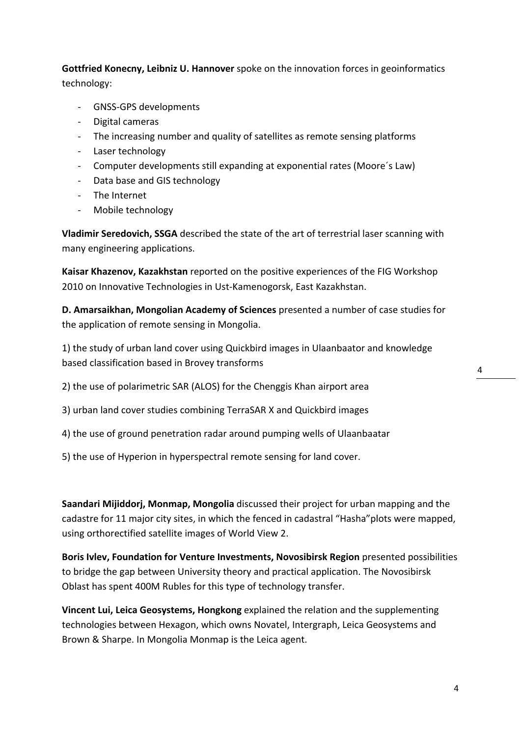**Gottfried Konecny, Leibniz U. Hannover** spoke on the innovation forces in geoinformatics technology:

- GNSS-GPS developments
- Digital cameras
- The increasing number and quality of satellites as remote sensing platforms
- Laser technology
- Computer developments still expanding at exponential rates (Moore´s Law)
- Data base and GIS technology
- The Internet
- Mobile technology

**Vladimir Seredovich, SSGA** described the state of the art of terrestrial laser scanning with many engineering applications.

**Kaisar Khazenov, Kazakhstan** reported on the positive experiences of the FIG Workshop 2010 on Innovative Technologies in Ust-Kamenogorsk, East Kazakhstan.

**D. Amarsaikhan, Mongolian Academy of Sciences** presented a number of case studies for the application of remote sensing in Mongolia.

1) the study of urban land cover using Quickbird images in Ulaanbaator and knowledge based classification based in Brovey transforms

- 2) the use of polarimetric SAR (ALOS) for the Chenggis Khan airport area
- 3) urban land cover studies combining TerraSAR X and Quickbird images
- 4) the use of ground penetration radar around pumping wells of Ulaanbaatar
- 5) the use of Hyperion in hyperspectral remote sensing for land cover.

**Saandari Mijiddorj, Monmap, Mongolia** discussed their project for urban mapping and the cadastre for 11 major city sites, in which the fenced in cadastral "Hasha"plots were mapped, using orthorectified satellite images of World View 2.

**Boris Ivlev, Foundation for Venture Investments, Novosibirsk Region** presented possibilities to bridge the gap between University theory and practical application. The Novosibirsk Oblast has spent 400M Rubles for this type of technology transfer.

**Vincent Lui, Leica Geosystems, Hongkong** explained the relation and the supplementing technologies between Hexagon, which owns Novatel, Intergraph, Leica Geosystems and Brown & Sharpe. In Mongolia Monmap is the Leica agent.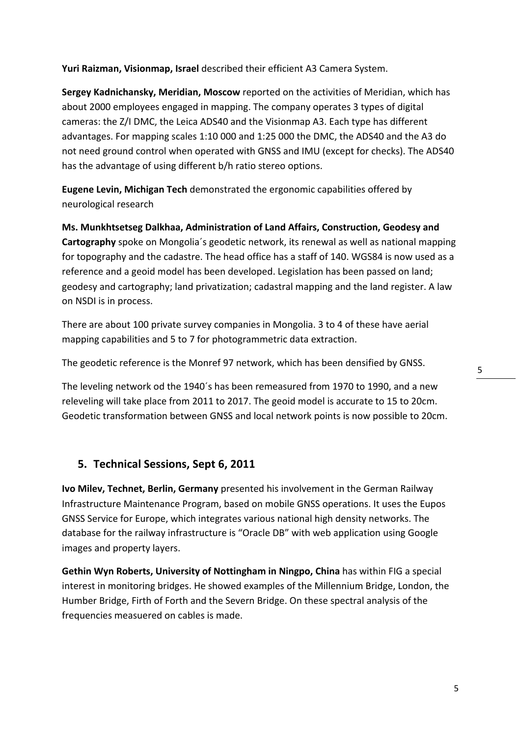**Yuri Raizman, Visionmap, Israel** described their efficient A3 Camera System.

**Sergey Kadnichansky, Meridian, Moscow** reported on the activities of Meridian, which has about 2000 employees engaged in mapping. The company operates 3 types of digital cameras: the Z/I DMC, the Leica ADS40 and the Visionmap A3. Each type has different advantages. For mapping scales 1:10 000 and 1:25 000 the DMC, the ADS40 and the A3 do not need ground control when operated with GNSS and IMU (except for checks). The ADS40 has the advantage of using different b/h ratio stereo options.

**Eugene Levin, Michigan Tech** demonstrated the ergonomic capabilities offered by neurological research

**Ms. Munkhtsetseg Dalkhaa, Administration of Land Affairs, Construction, Geodesy and Cartography** spoke on Mongolia´s geodetic network, its renewal as well as national mapping for topography and the cadastre. The head office has a staff of 140. WGS84 is now used as a reference and a geoid model has been developed. Legislation has been passed on land; geodesy and cartography; land privatization; cadastral mapping and the land register. A law on NSDI is in process.

There are about 100 private survey companies in Mongolia. 3 to 4 of these have aerial mapping capabilities and 5 to 7 for photogrammetric data extraction.

The geodetic reference is the Monref 97 network, which has been densified by GNSS.

The leveling network od the 1940´s has been remeasured from 1970 to 1990, and a new releveling will take place from 2011 to 2017. The geoid model is accurate to 15 to 20cm. Geodetic transformation between GNSS and local network points is now possible to 20cm.

#### **5. Technical Sessions, Sept 6, 2011**

**Ivo Milev, Technet, Berlin, Germany** presented his involvement in the German Railway Infrastructure Maintenance Program, based on mobile GNSS operations. It uses the Eupos GNSS Service for Europe, which integrates various national high density networks. The database for the railway infrastructure is "Oracle DB" with web application using Google images and property layers.

**Gethin Wyn Roberts, University of Nottingham in Ningpo, China** has within FIG a special interest in monitoring bridges. He showed examples of the Millennium Bridge, London, the Humber Bridge, Firth of Forth and the Severn Bridge. On these spectral analysis of the frequencies measuered on cables is made.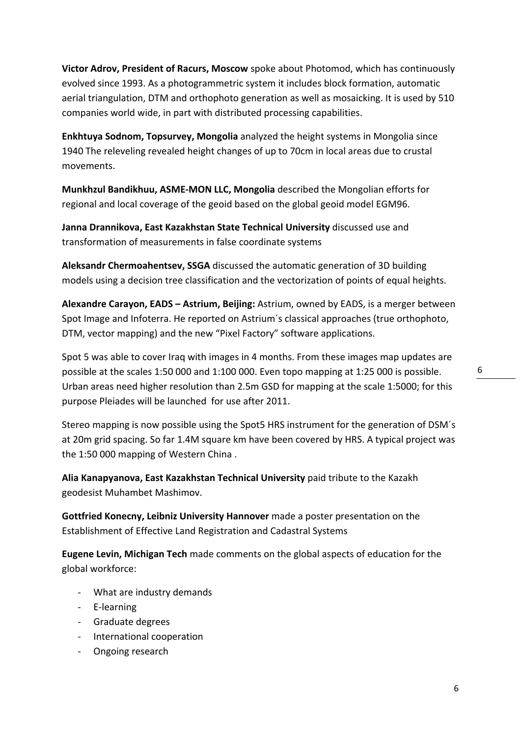**Victor Adrov, President of Racurs, Moscow** spoke about Photomod, which has continuously evolved since 1993. As a photogrammetric system it includes block formation, automatic aerial triangulation, DTM and orthophoto generation as well as mosaicking. It is used by 510 companies world wide, in part with distributed processing capabilities.

**Enkhtuya Sodnom, Topsurvey, Mongolia** analyzed the height systems in Mongolia since 1940 The releveling revealed height changes of up to 70cm in local areas due to crustal movements.

**Munkhzul Bandikhuu, ASME-MON LLC, Mongolia** described the Mongolian efforts for regional and local coverage of the geoid based on the global geoid model EGM96.

**Janna Drannikova, East Kazakhstan State Technical University** discussed use and transformation of measurements in false coordinate systems

**Aleksandr Chermoahentsev, SSGA** discussed the automatic generation of 3D building models using a decision tree classification and the vectorization of points of equal heights.

**Alexandre Carayon, EADS – Astrium, Beijing:** Astrium, owned by EADS, is a merger between Spot Image and Infoterra. He reported on Astrium´s classical approaches (true orthophoto, DTM, vector mapping) and the new "Pixel Factory" software applications.

Spot 5 was able to cover Iraq with images in 4 months. From these images map updates are possible at the scales 1:50 000 and 1:100 000. Even topo mapping at 1:25 000 is possible. Urban areas need higher resolution than 2.5m GSD for mapping at the scale 1:5000; for this purpose Pleiades will be launched for use after 2011.

Stereo mapping is now possible using the Spot5 HRS instrument for the generation of DSM´s at 20m grid spacing. So far 1.4M square km have been covered by HRS. A typical project was the 1:50 000 mapping of Western China .

**Alia Kanapyanova, East Kazakhstan Technical University** paid tribute to the Kazakh geodesist Muhambet Mashimov.

**Gottfried Konecny, Leibniz University Hannover** made a poster presentation on the Establishment of Effective Land Registration and Cadastral Systems

**Eugene Levin, Michigan Tech** made comments on the global aspects of education for the global workforce:

- What are industry demands
- E-learning
- Graduate degrees
- International cooperation
- Ongoing research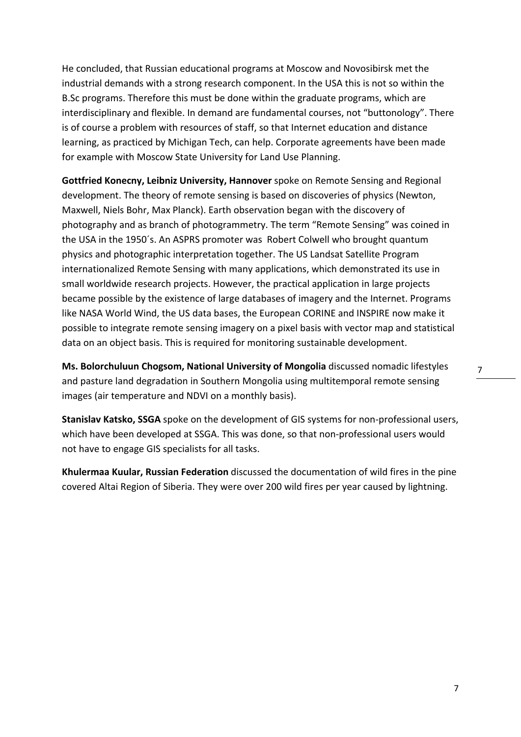He concluded, that Russian educational programs at Moscow and Novosibirsk met the industrial demands with a strong research component. In the USA this is not so within the B.Sc programs. Therefore this must be done within the graduate programs, which are interdisciplinary and flexible. In demand are fundamental courses, not "buttonology". There is of course a problem with resources of staff, so that Internet education and distance learning, as practiced by Michigan Tech, can help. Corporate agreements have been made for example with Moscow State University for Land Use Planning.

**Gottfried Konecny, Leibniz University, Hannover** spoke on Remote Sensing and Regional development. The theory of remote sensing is based on discoveries of physics (Newton, Maxwell, Niels Bohr, Max Planck). Earth observation began with the discovery of photography and as branch of photogrammetry. The term "Remote Sensing" was coined in the USA in the 1950´s. An ASPRS promoter was Robert Colwell who brought quantum physics and photographic interpretation together. The US Landsat Satellite Program internationalized Remote Sensing with many applications, which demonstrated its use in small worldwide research projects. However, the practical application in large projects became possible by the existence of large databases of imagery and the Internet. Programs like NASA World Wind, the US data bases, the European CORINE and INSPIRE now make it possible to integrate remote sensing imagery on a pixel basis with vector map and statistical data on an object basis. This is required for monitoring sustainable development.

**Ms. Bolorchuluun Chogsom, National University of Mongolia** discussed nomadic lifestyles and pasture land degradation in Southern Mongolia using multitemporal remote sensing images (air temperature and NDVI on a monthly basis).

**Stanislav Katsko, SSGA** spoke on the development of GIS systems for non-professional users, which have been developed at SSGA. This was done, so that non-professional users would not have to engage GIS specialists for all tasks.

**Khulermaa Kuular, Russian Federation** discussed the documentation of wild fires in the pine covered Altai Region of Siberia. They were over 200 wild fires per year caused by lightning.

7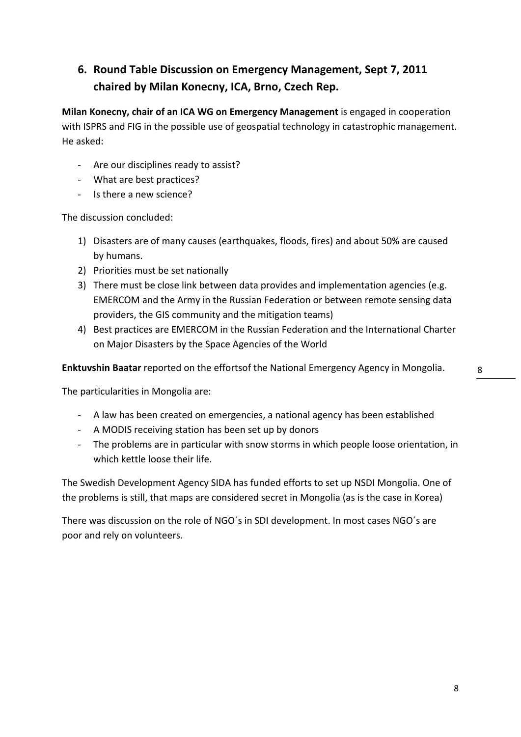### **6. Round Table Discussion on Emergency Management, Sept 7, 2011 chaired by Milan Konecny, ICA, Brno, Czech Rep.**

**Milan Konecny, chair of an ICA WG on Emergency Management** is engaged in cooperation with ISPRS and FIG in the possible use of geospatial technology in catastrophic management. He asked:

- Are our disciplines ready to assist?
- What are best practices?
- Is there a new science?

The discussion concluded:

- 1) Disasters are of many causes (earthquakes, floods, fires) and about 50% are caused by humans.
- 2) Priorities must be set nationally
- 3) There must be close link between data provides and implementation agencies (e.g. EMERCOM and the Army in the Russian Federation or between remote sensing data providers, the GIS community and the mitigation teams)
- 4) Best practices are EMERCOM in the Russian Federation and the International Charter on Major Disasters by the Space Agencies of the World

**Enktuvshin Baatar** reported on the effortsof the National Emergency Agency in Mongolia.

The particularities in Mongolia are:

- A law has been created on emergencies, a national agency has been established
- A MODIS receiving station has been set up by donors
- The problems are in particular with snow storms in which people loose orientation, in which kettle loose their life.

The Swedish Development Agency SIDA has funded efforts to set up NSDI Mongolia. One of the problems is still, that maps are considered secret in Mongolia (as is the case in Korea)

There was discussion on the role of NGO´s in SDI development. In most cases NGO´s are poor and rely on volunteers.